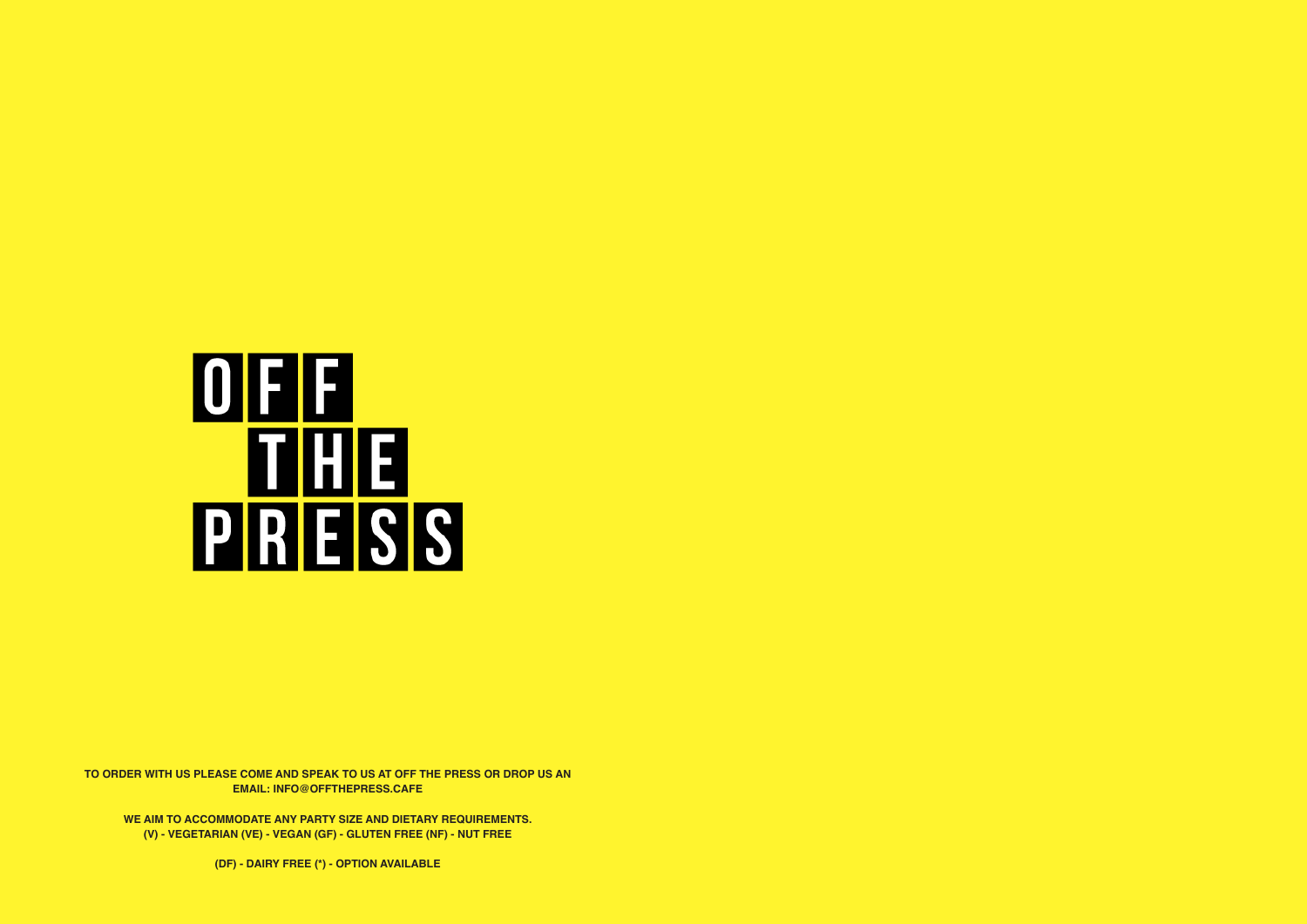# OEE **THE PRESS**

**TO ORDER WITH US PLEASE COME AND SPEAK TO US AT OFF THE PRESS OR DROP US AN EMAIL: INFO@OFFTHEPRESS.CAFE**

**WE AIM TO ACCOMMODATE ANY PARTY SIZE AND DIETARY REQUIREMENTS. (V) - VEGETARIAN (VE) - VEGAN (GF) - GLUTEN FREE (NF) - NUT FREE** 

**(DF) - DAIRY FREE (\*) - OPTION AVAILABLE**